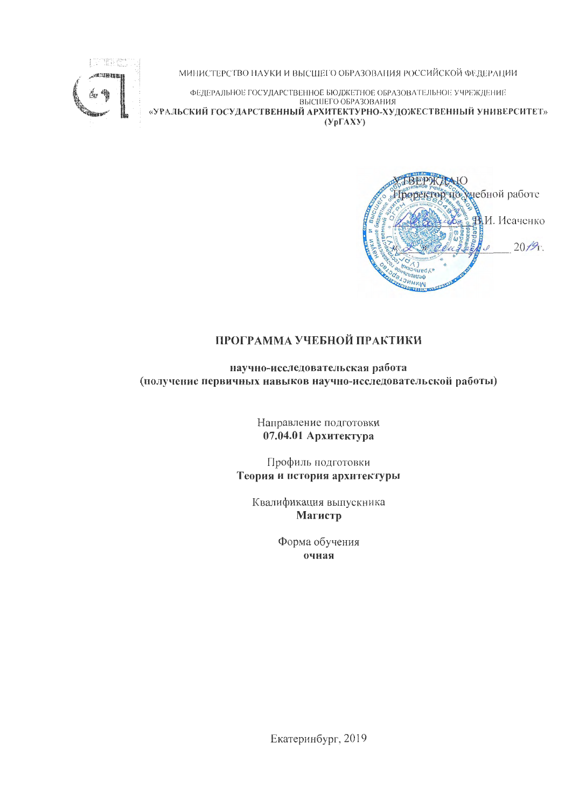

МИНИСТЕРСТВО НАУКИ И ВЫСШЕГО ОБРАЗОВАНИЯ РОССИЙСКОЙ ФЕДЕРАЦИИ

ФЕДЕРАЛЬНОЕ ГОСУДАРСТВЕННОЕ БЮДЖЕТНОЕ ОБРАЗОВАТЕЛЬНОЕ УЧРЕЖДЕНИЕ ВЫСШЕГО ОБРАЗОВАНИЯ «УРАЛЬСКИЙ ГОСУДАРСТВЕННЫЙ АРХИТЕКТУРНО-ХУДОЖЕСТВЕННЫЙ УНИВЕРСИТЕТ»  $(Yp\Gamma A X Y)$ 

**VEBEPKANO** Проректор исхиебной работе **ВИ.** Исаченко  $20/9$ .  $red<sub>k</sub>$ WNHNC  $rr1$ 

# ПРОГРАММА УЧЕБНОЙ ПРАКТИКИ

научно-исследовательская работа (получение первичных навыков научно-исследовательской работы)

> Направление подготовки 07.04.01 Архитектура

Профиль подготовки Теория и история архитектуры

Квалификация выпускника **Магистр** 

> Форма обучения очная

Екатеринбург, 2019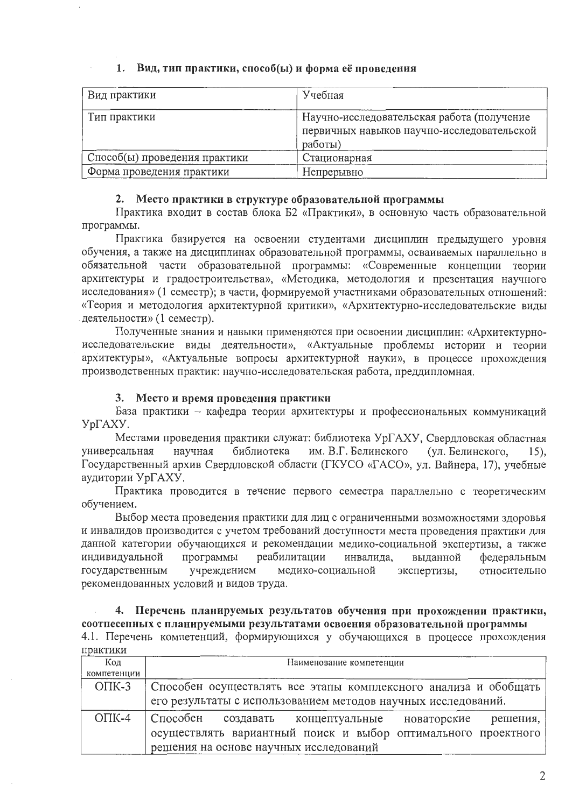## 1. Вид, тип практики, способ(ы) и форма её проведения

| Вид практики                  | Учебная                                                                                             |
|-------------------------------|-----------------------------------------------------------------------------------------------------|
| Тип практики                  | Научно-исследовательская работа (получение<br>первичных навыков научно-исследовательской<br>работы) |
| Способ(ы) проведения практики | Стационарная                                                                                        |
| Форма проведения практики     | Непрерывно                                                                                          |

## 2. Место практики в структуре образовательной программы

Практика входит в состав блока Б2 «Практики», в основную часть образовательной программы.

Практика базируется на освоении студентами дисциплин предыдущего уровня обучения, а также на дисциплинах образовательной программы, осваиваемых параллельно в обязательной части образовательной программы: «Современные концепции теории архитектуры и градостроительства», «Методика, методология и презентация научного исследования» (1 семестр); в части, формируемой участниками образовательных отношений: «Теория и методология архитектурной критики», «Архитектурно-исследовательские виды деятельности» (1 семестр).

Полученные знания и навыки применяются при освоении дисциплин: «Архитектурноисследовательские виды деятельности», «Актуальные проблемы истории и теории архитектуры», «Актуальные вопросы архитектурной науки», в процессе прохождения производственных практик: научно-исследовательская работа, преддипломная.

# 3. Место и время проведения практики

База практики - кафедра теории архитектуры и профессиональных коммуникаций УрГАХУ.

Местами проведения практики служат: библиотека УрГАХУ, Свердловская областная научная библиотека им. В.Г. Белинского (ул. Белинского, универсальная  $15)$ , Государственный архив Свердловской области (ГКУСО «ГАСО», ул. Вайнера, 17), учебные аудитории УрГАХУ.

Практика проводится в течение первого семестра параллельно с теоретическим обучением.

Выбор места проведения практики для лиц с ограниченными возможностями здоровья и инвалидов производится с учетом требований доступности места проведения практики для данной категории обучающихся и рекомендации медико-социальной экспертизы, а также индивидуальной программы реабилитации инвалида, выданной федеральным относительно государственным учреждением медико-социальной экспертизы, рекомендованных условий и видов труда.

#### 4. Перечень планируемых результатов обучения при прохождении практики, соотиесенных с планируемыми результатами освоения образовательной программы

4.1. Перечень компетенций, формирующихся у обучающихся в процессе прохождения практики

| Код                        | Наименование компетенции                                        |  |  |  |  |  |
|----------------------------|-----------------------------------------------------------------|--|--|--|--|--|
| компетенции                |                                                                 |  |  |  |  |  |
| $O\Pi K-3$                 | Способен осуществлять все этапы комплексного анализа и обобщать |  |  |  |  |  |
|                            | его результаты с использованием методов научных исследований.   |  |  |  |  |  |
| $\overline{\text{OIIK-4}}$ | Способен<br>создавать концептуальные новаторские решения,       |  |  |  |  |  |
|                            | осуществлять вариантный поиск и выбор оптимального проектного   |  |  |  |  |  |
|                            | решения на основе научных исследований                          |  |  |  |  |  |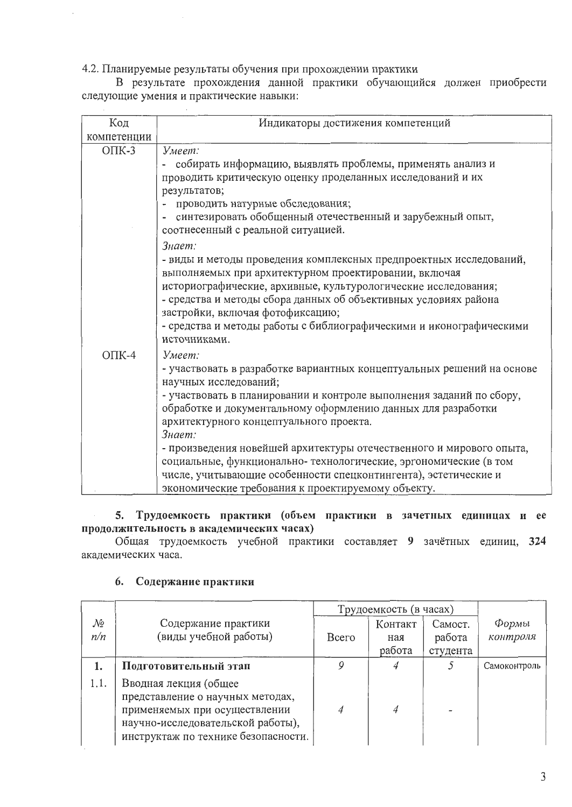4.2. Планируемые результаты обучения при прохождении практики

В результате прохождения данной практики обучающийся должен приобрести следующие умения и практические навыки:

| Код         | Индикаторы достижения компетенций                                      |
|-------------|------------------------------------------------------------------------|
| компетенции |                                                                        |
| $O$ $TK-3$  | Умеет:                                                                 |
|             | собирать информацию, выявлять проблемы, применять анализ и             |
|             | проводить критическую оценку проделанных исследований и их             |
|             | результатов;                                                           |
|             | проводить натурные обследования;                                       |
|             | синтезировать обобщенный отечественный и зарубежный опыт,              |
|             | соотнесенный с реальной ситуацией.                                     |
|             | Знает:                                                                 |
|             | - виды и методы проведения комплексных предпроектных исследований,     |
|             | выполняемых при архитектурном проектировании, включая                  |
|             | историографические, архивные, культурологические исследования;         |
|             | - средства и методы сбора данных об объективных условиях района        |
|             | застройки, включая фотофиксацию;                                       |
|             | - средства и методы работы с библиографическими и иконографическими    |
|             | источниками.                                                           |
| $O\Pi K-4$  | Умеет:                                                                 |
|             | - участвовать в разработке вариантных концептуальных решений на основе |
|             | научных исследований;                                                  |
|             | - участвовать в планировании и контроле выполнения заданий по сбору,   |
|             | обработке и документальному оформлению данных для разработки           |
|             | архитектурного концептуального проекта.                                |
|             | Знает:                                                                 |
|             | - произведения новейшей архитектуры отечественного и мирового опыта,   |
|             | социальные, функционально- технологические, эргономические (в том      |
|             | числе, учитывающие особенности спецконтингента), эстетические и        |
|             | экономические требования к проектируемому объекту.                     |

## 5. Трудоемкость практики (объем практики в зачетных единицах и ее продолжительность в академических часах)

Общая трудоемкость учебной практики составляет 9 зачётных единиц, 324 академических часа.

|           |                                                                                                                                                                        | Трудоемкость (в часах) |                          |                               |                            |
|-----------|------------------------------------------------------------------------------------------------------------------------------------------------------------------------|------------------------|--------------------------|-------------------------------|----------------------------|
| No<br>n/n | Содержание практики<br>(виды учебной работы)                                                                                                                           | <b>B</b> cero          | Контакт<br>ная<br>работа | Самост.<br>работа<br>студента | $\varPhi$ ормы<br>контроля |
| 1.        | Подготовительный этап                                                                                                                                                  |                        |                          |                               | Самоконтроль               |
| 1.1.      | Вводная лекция (общее<br>представление о научных методах,<br>применяемых при осуществлении<br>научно-исследовательской работы),<br>инструктаж по технике безопасности. |                        | 4                        |                               |                            |

# 6. Содержание практики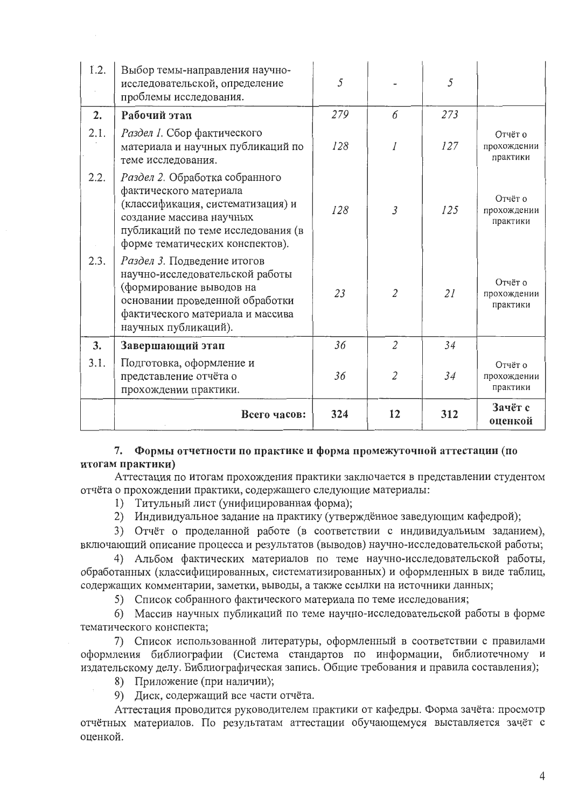| 1.2. | Выбор темы-направления научно-<br>исследовательской, определение<br>проблемы исследования.                                                                                                         | 5   |                | 5   |                                    |
|------|----------------------------------------------------------------------------------------------------------------------------------------------------------------------------------------------------|-----|----------------|-----|------------------------------------|
| 2.   | Рабочий этап                                                                                                                                                                                       | 279 | 6              | 273 |                                    |
| 2.1. | Раздел 1. Сбор фактического<br>материала и научных публикаций по<br>теме исследования.                                                                                                             | 128 |                | 127 | Отчёт о<br>прохождении<br>практики |
| 2.2. | Раздел 2. Обработка собранного<br>фактического материала<br>(классификация, систематизация) и<br>создание массива научных<br>публикаций по теме исследования (в<br>форме тематических конспектов). | 128 | $\overline{3}$ | 125 | Отчёт о<br>прохождении<br>практики |
| 2.3. | Раздел 3. Подведение итогов<br>научно-исследовательской работы<br>(формирование выводов на<br>основании проведенной обработки<br>фактического материала и массива<br>научных публикаций).          | 23  | $\overline{2}$ | 21  | Отчёт о<br>прохождении<br>практики |
| 3.   | Завершающий этап                                                                                                                                                                                   | 36  | $\overline{2}$ | 34  |                                    |
| 3.1. | Подготовка, оформление и<br>представление отчёта о<br>прохождении практики.                                                                                                                        | 36  | $\overline{2}$ | 34  | Отчёт о<br>прохождении<br>практики |
|      | Всего часов:                                                                                                                                                                                       | 324 | 12             | 312 | Зачёт с<br>оценкой                 |

## 7. Формы отчетности по практике и форма промежуточной аттестации (по итогам практики)

Аттестация по итогам прохождения практики заключается в представлении студентом отчёта о прохождении практики, содержащего следующие материалы:

1) Титульный лист (унифицированная форма);

2) Индивидуальное задание на практику (утверждённое заведующим кафедрой);

3) Отчёт о проделанной работе (в соответствии с индивидуальным заданием), включающий описание процесса и результатов (выводов) научно-исследовательской работы;

4) Альбом фактических материалов по теме научно-исследовательской работы, обработанных (классифицированных, систематизированных) и оформленных в виде таблиц, содержащих комментарии, заметки, выводы, а также ссылки на источники данных;

5) Список собранного фактического материала по теме исследования;

6) Массив научных публикаций по теме научно-исследовательской работы в форме тематического конспекта;

7) Список использованной литературы, оформленный в соответствии с правилами оформления библиографии (Система стандартов по информации, библиотечному и издательскому делу. Библиографическая запись. Общие требования и правила составления);

8) Приложение (при наличии);

9) Диск, содержащий все части отчёта.

Аттестация проводится руководителем практики от кафедры. Форма зачёта: просмотр отчётных материалов. По результатам аттестации обучающемуся выставляется зачёт с оценкой.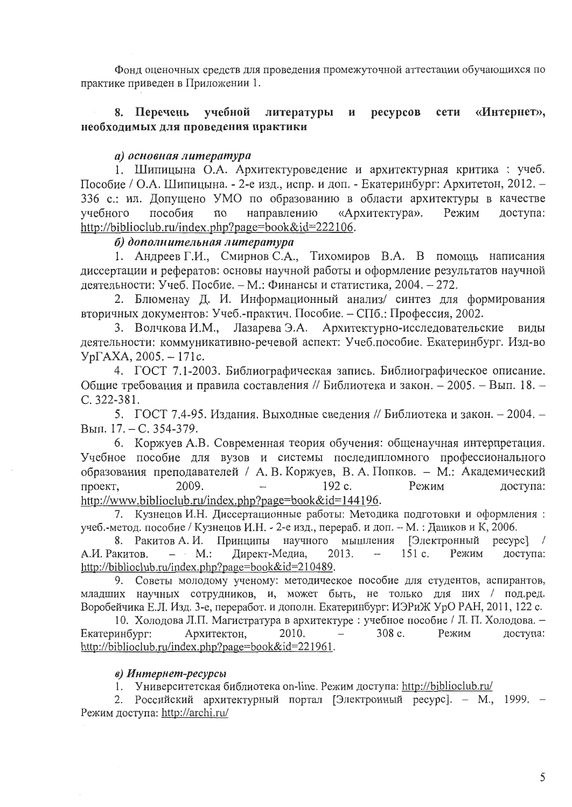Фонд оценочных средств для проведения промежуточной аттестации обучающихся по практике приведен в Приложении 1.

#### ресурсов 8. Перечень учебной литературы сети «Интернет», И необходимых для проведения практики

### а) основная литература

1. Шипицына О.А. Архитектуроведение и архитектурная критика: учеб. Пособие / О.А. Шипицына. - 2-е изд., испр. и доп. - Екатеринбург: Архитетон, 2012. -336 с.: ил. Допущено УМО по образованию в области архитектуры в качестве доступа: пособия  $\overline{10}$ направлению «Архитектура». Режим учебного http://biblioclub.ru/index.php?page=book&id=222106.

#### б) дополнительная литература

1. Андреев Г.И., Смирнов С.А., Тихомиров В.А. В помощь написания диссертации и рефератов: основы научной работы и оформление результатов научной деятельности: Учеб. Посбие. - М.: Финансы и статистика, 2004. - 272.

2. Блюменау Д. И. Информационный анализ/ синтез для формирования вторичных документов: Учеб.-практич. Пособие. - СПб.: Профессия, 2002.

Архитектурно-исследовательские 3. Волчкова И.М., Лазарева Э.А. виды деятельности: коммуникативно-речевой аспект: Учеб.пособие. Екатеринбург. Изд-во  $Yp\Gamma AXA, 2005. - 171c.$ 

4. ГОСТ 7.1-2003. Библиографическая запись. Библиографическое описание. Общие требования и правила составления // Библиотека и закон. - 2005. - Вып. 18. -C. 322-381.

5. ГОСТ 7.4-95. Издания. Выходные сведения // Библиотека и закон. - 2004. -Вып. 17. – С. 354-379.

6. Коржуев А.В. Современная теория обучения: общенаучная интерпретация. Учебное пособие для вузов и системы последипломного профессионального образования преподавателей / А. В. Коржуев, В. А. Попков. - М.: Академический 192 c. Режим проект. 2009. доступа: http://www.biblioclub.ru/index.php?page=book&id=144196.

7. Кузнецов И.Н. Диссертационные работы: Методика подготовки и оформления: учеб.-метод. пособие / Кузнецов И.Н. - 2-е изд., перераб. и доп. - М. : Дашков и К, 2006.

8. Ракитов А. И. Принципы научного мышления [Электронный ресурс]  $\frac{1}{2}$  $-$  M.: Директ-Медиа, 2013.  $151c.$ Режим доступа: А.И. Ракитов. http://biblioclub.ru/index.php?page=book&id=210489.

9. Советы молодому ученому: методическое пособие для студентов, аспирантов, младших научных сотрудников, и, может быть, не только для них / под.ред. Воробейчика Е.Л. Изд. 3-е, переработ. и дополн. Екатеринбург: ИЭРиЖ УрО РАН, 2011, 122 с.

10. Холодова Л.П. Магистратура в архитектуре: учебное пособие / Л. П. Холодова. -Екатеринбург: Архитектон, 2010. 308 c. Режим доступа: http://biblioclub.ru/index.php?page=book&id=221961.

#### в) Интернет-ресурсы

1. Университетская библиотека on-line. Режим доступа: http://biblioclub.ru/

2. Российский архитектурный портал [Электронный ресурс]. - М., 1999. -Режим доступа: http://archi.ru/